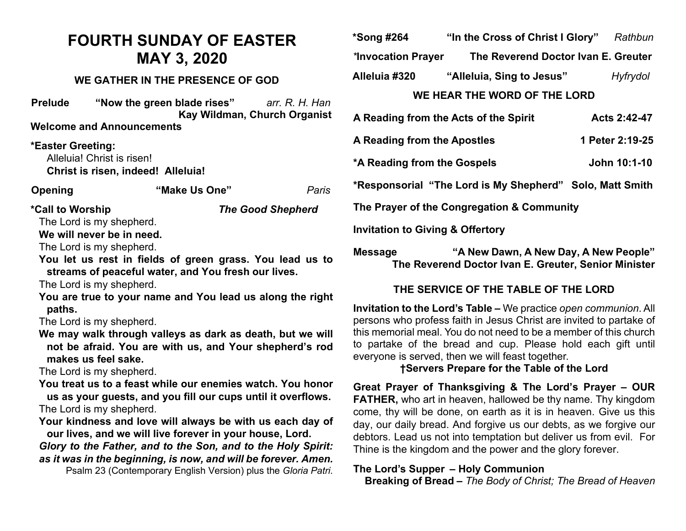# **FOURTH SUNDAY OF EASTER MAY 3, 2020**

#### **WE GATHER IN THE PRESENCE OF GOD**

| <b>Prelude</b> | "Now the green blade rises"      | arr. R. H. Han               |
|----------------|----------------------------------|------------------------------|
|                |                                  | Kay Wildman, Church Organist |
|                | <b>Welcome and Announcements</b> |                              |
|                |                                  |                              |

**\*Easter Greeting:**  Alleluia! Christ is risen! **Christ is risen, indeed! Alleluia!**

| Opening | "Make Us One" | Paris |
|---------|---------------|-------|
|---------|---------------|-------|

| *Call to Worship         | <b>The Good Shepherd</b> |
|--------------------------|--------------------------|
| The Lord is my shepherd. |                          |

**We will never be in need.**

The Lord is my shepherd.

**You let us rest in fields of green grass. You lead us to streams of peaceful water, and You fresh our lives.** 

The Lord is my shepherd.

**You are true to your name and You lead us along the right paths.**

The Lord is my shepherd.

**We may walk through valleys as dark as death, but we will not be afraid. You are with us, and Your shepherd's rod makes us feel sake.** 

The Lord is my shepherd.

- **You treat us to a feast while our enemies watch. You honor us as your guests, and you fill our cups until it overflows.** The Lord is my shepherd.
- **Your kindness and love will always be with us each day of our lives, and we will live forever in your house, Lord.**

*Glory to the Father, and to the Son, and to the Holy Spirit: as it was in the beginning, is now, and will be forever. Amen.*

Psalm 23 (Contemporary English Version) plus the *Gloria Patri*.

| *Song #264                   | "In the Cross of Christ I Glory"    | Rathbun  |
|------------------------------|-------------------------------------|----------|
| *Invocation Prayer           | The Reverend Doctor Ivan E. Greuter |          |
| Alleluia #320                | "Alleluia, Sing to Jesus"           | Hyfrydol |
| WE HEAR THE WORD OF THE LORD |                                     |          |

| A Reading from the Acts of the Spirit                    | Acts 2:42-47    |
|----------------------------------------------------------|-----------------|
| A Reading from the Apostles                              | 1 Peter 2:19-25 |
| *A Reading from the Gospels                              | John 10:1-10    |
| *Responsorial "The Lord is My Shepherd" Solo, Matt Smith |                 |
| The Prayer of the Congregation & Community               |                 |
| <b>Invitation to Giving &amp; Offertory</b>              |                 |

**Message "A New Dawn, A New Day, A New People" The Reverend Doctor Ivan E. Greuter, Senior Minister**

### **THE SERVICE OF THE TABLE OF THE LORD**

**Invitation to the Lord's Table –** We practice *open communion*. All persons who profess faith in Jesus Christ are invited to partake of this memorial meal. You do not need to be a member of this church to partake of the bread and cup. Please hold each gift until everyone is served, then we will feast together.

### **†Servers Prepare for the Table of the Lord**

**Great Prayer of Thanksgiving & The Lord's Prayer – OUR FATHER,** who art in heaven, hallowed be thy name. Thy kingdom come, thy will be done, on earth as it is in heaven. Give us this day, our daily bread. And forgive us our debts, as we forgive our debtors. Lead us not into temptation but deliver us from evil. For Thine is the kingdom and the power and the glory forever.

### **The Lord's Supper – Holy Communion**

 **Breaking of Bread –** *The Body of Christ; The Bread of Heaven*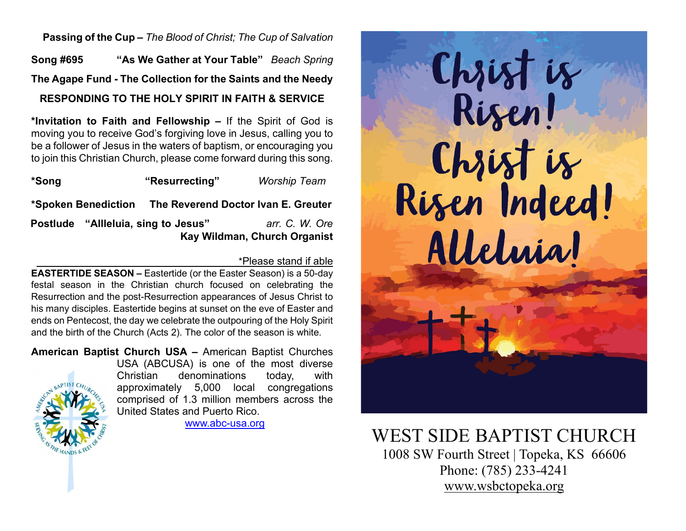**Passing of the Cup –** *The Blood of Christ; The Cup of Salvation*

**Song #695 "As We Gather at Your Table"** *Beach Spring* **The Agape Fund - The Collection for the Saints and the Needy RESPONDING TO THE HOLY SPIRIT IN FAITH & SERVICE**

**\*Invitation to Faith and Fellowship –** If the Spirit of God is moving you to receive God's forgiving love in Jesus, calling you to be a follower of Jesus in the waters of baptism, or encouraging you to join this Christian Church, please come forward during this song.

| *Song                               | "Resurrecting"                                          | <b>Worship Team</b>                            |
|-------------------------------------|---------------------------------------------------------|------------------------------------------------|
|                                     | *Spoken Benediction The Reverend Doctor Ivan E. Greuter |                                                |
| Postlude "Allleluia, sing to Jesus" |                                                         | arr. C. W. Ore<br>Kay Wildman, Church Organist |

### \*Please stand if able

**EASTERTIDE SEASON –** Eastertide (or the Easter Season) is a 50-day festal season in the Christian church focused on celebrating the Resurrection and the post-Resurrection appearances of Jesus Christ to his many disciples. Eastertide begins at sunset on the eve of Easter and ends on Pentecost, the day we celebrate the outpouring of the Holy Spirit and the birth of the Church (Acts 2). The color of the season is white.

**American Baptist Church USA –** American Baptist Churches USA (ABCUSA) is one of the most diverse Christian denominations today, with

approximately 5,000 local congregations comprised of 1.3 million members across the United States and Puerto Rico.

[www.abc-usa.org](http://www.abc-usa.org/)



# WEST SIDE BAPTIST CHURCH<br>1008 SW Fourth Street | Topeka, KS 66606

Phone: (785) 233-4241 [www.wsbctopeka.org](http://www.wsbctopeka.org/)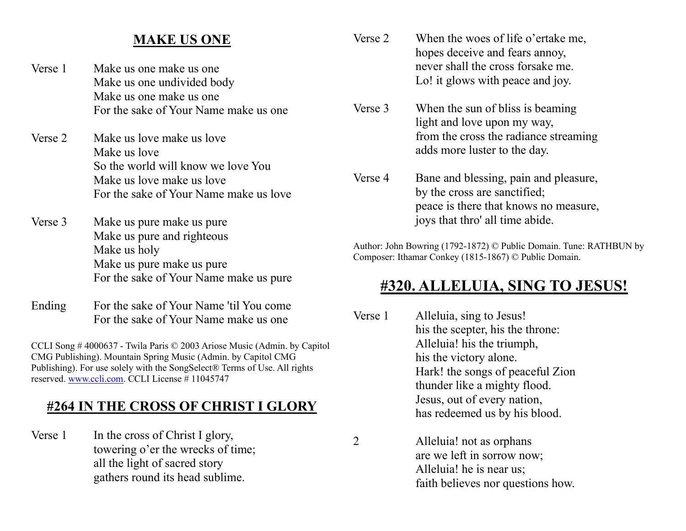## **MAKE US ONE**

- Verse 1 Make us one make us one Make us one undivided body Make us one make us one For the sake of Your Name make us one
- Verse 2 Make us love make us love Make us love So the world will know we love You Make us love make us love For the sake of Your Name make us love
- Verse 3 Make us pure make us pure Make us pure and righteous Make us holy Make us pure make us pure For the sake of Your Name make us pure
- Ending For the sake of Your Name 'til You come For the sake of Your Name make us one

CCLI Song # 4000637 - Twila Paris © 2003 Ariose Music (Admin. by Capitol CMG Publishing). Mountain Spring Music (Admin. by Capitol CMG Publishing). For use solely with the SongSelect® Terms of Use. All rights reserved. [www.ccli.com.](http://www.ccli.com/) CCLI License # 11045747

## **#264 IN THE CROSS OF CHRIST I GLORY**

Verse 1 In the cross of Christ I glory, towering o'er the wrecks of time; all the light of sacred story gathers round its head sublime.

- Verse 2 When the woes of life o'ertake me, hopes deceive and fears annoy, never shall the cross forsake me. Lo! it glows with peace and joy.
- Verse 3 When the sun of bliss is beaming light and love upon my way, from the cross the radiance streaming adds more luster to the day.
- Verse 4 Bane and blessing, pain and pleasure, by the cross are sanctified; peace is there that knows no measure, joys that thro' all time abide.

Author: John Bowring (1792-1872) © Public Domain. Tune: RATHBUN by Composer: Ithamar Conkey (1815-1867) © Public Domain.

## **#320. ALLELUIA, SING TO JESUS!**

- Verse 1 Alleluia, sing to Jesus! his the scepter, his the throne: Alleluia! his the triumph, his the victory alone. Hark! the songs of peaceful Zion thunder like a mighty flood. Jesus, out of every nation, has redeemed us by his blood.
- 2 Alleluia! not as orphans are we left in sorrow now; Alleluia! he is near us; faith believes nor questions how.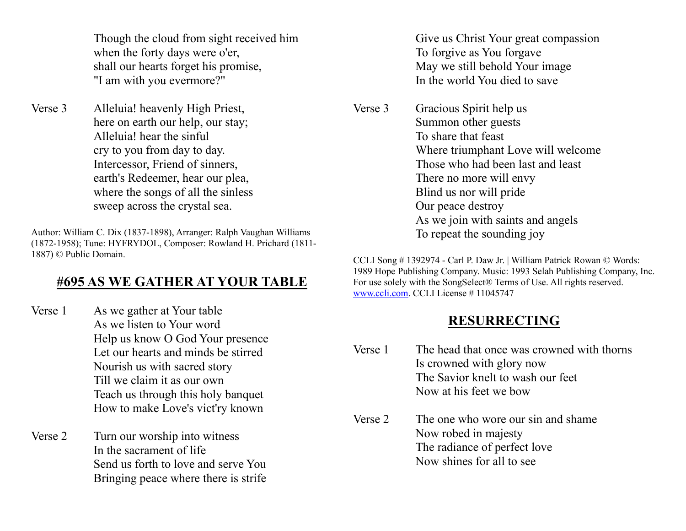Though the cloud from sight received him when the forty days were o'er, shall our hearts forget his promise, "I am with you evermore?"

Verse 3 Alleluia! heavenly High Priest, here on earth our help, our stay; Alleluia! hear the sinful cry to you from day to day. Intercessor, Friend of sinners, earth's Redeemer, hear our plea, where the songs of all the sinless sweep across the crystal sea.

Author: William C. Dix (1837-1898), Arranger: Ralph Vaughan Williams (1872-1958); Tune: HYFRYDOL, Composer: Rowland H. Prichard (1811- 1887) © Public Domain.

## **#695 AS WE GATHER AT YOUR TABLE**

- Verse 1 As we gather at Your table As we listen to Your word Help us know O God Your presence Let our hearts and minds be stirred Nourish us with sacred story Till we claim it as our own Teach us through this holy banquet How to make Love's vict'ry known
- Verse 2 Turn our worship into witness In the sacrament of life Send us forth to love and serve You Bringing peace where there is strife

Give us Christ Your great compassion To forgive as You forgave May we still behold Your image In the world You died to save

Verse 3 Gracious Spirit help us Summon other guests To share that feast Where triumphant Love will welcome Those who had been last and least There no more will envy Blind us nor will pride Our peace destroy As we join with saints and angels To repeat the sounding joy

CCLI Song # 1392974 - Carl P. Daw Jr. | William Patrick Rowan © Words: 1989 Hope Publishing Company. Music: 1993 Selah Publishing Company, Inc. For use solely with the SongSelect® Terms of Use. All rights reserved. [www.ccli.com.](http://www.ccli.com/) CCLI License # 11045747

## **RESURRECTING**

- Verse 1 The head that once was crowned with thorns Is crowned with glory now The Savior knelt to wash our feet Now at his feet we bow
- Verse 2 The one who wore our sin and shame Now robed in majesty The radiance of perfect love Now shines for all to see